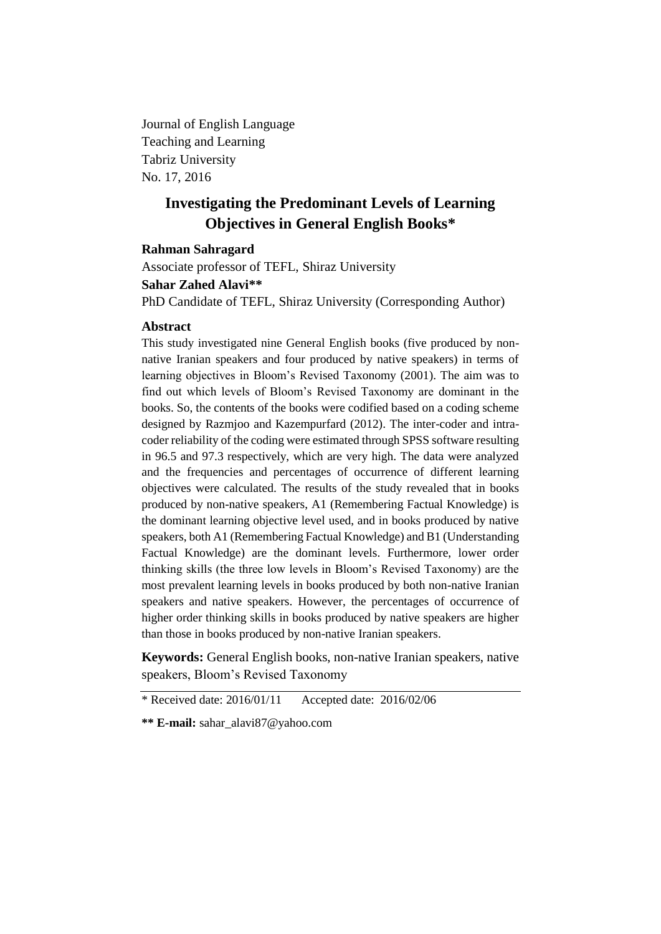Journal of English Language Teaching and Learning Tabriz University No. 17, 2016

# **Investigating the Predominant Levels of Learning Objectives in General English Books\***

## **Rahman Sahragard**

Associate professor of TEFL, Shiraz University **Sahar Zahed Alavi\*\*** PhD Candidate of TEFL, Shiraz University (Corresponding Author)

#### **Abstract**

This study investigated nine General English books (five produced by nonnative Iranian speakers and four produced by native speakers) in terms of learning objectives in Bloom's Revised Taxonomy (2001). The aim was to find out which levels of Bloom's Revised Taxonomy are dominant in the books. So, the contents of the books were codified based on a coding scheme designed by Razmjoo and Kazempurfard (2012). The inter-coder and intracoder reliability of the coding were estimated through SPSS software resulting in 96.5 and 97.3 respectively, which are very high. The data were analyzed and the frequencies and percentages of occurrence of different learning objectives were calculated. The results of the study revealed that in books produced by non-native speakers, A1 (Remembering Factual Knowledge) is the dominant learning objective level used, and in books produced by native speakers, both A1 (Remembering Factual Knowledge) and B1 (Understanding Factual Knowledge) are the dominant levels. Furthermore, lower order thinking skills (the three low levels in Bloom's Revised Taxonomy) are the most prevalent learning levels in books produced by both non-native Iranian speakers and native speakers. However, the percentages of occurrence of higher order thinking skills in books produced by native speakers are higher than those in books produced by non-native Iranian speakers.

**Keywords:** General English books, non-native Iranian speakers, native speakers, Bloom's Revised Taxonomy

\* Received date: 2016/01/11 Accepted date: 2016/02/06

**\*\* E-mail:** sahar\_alavi87@yahoo.com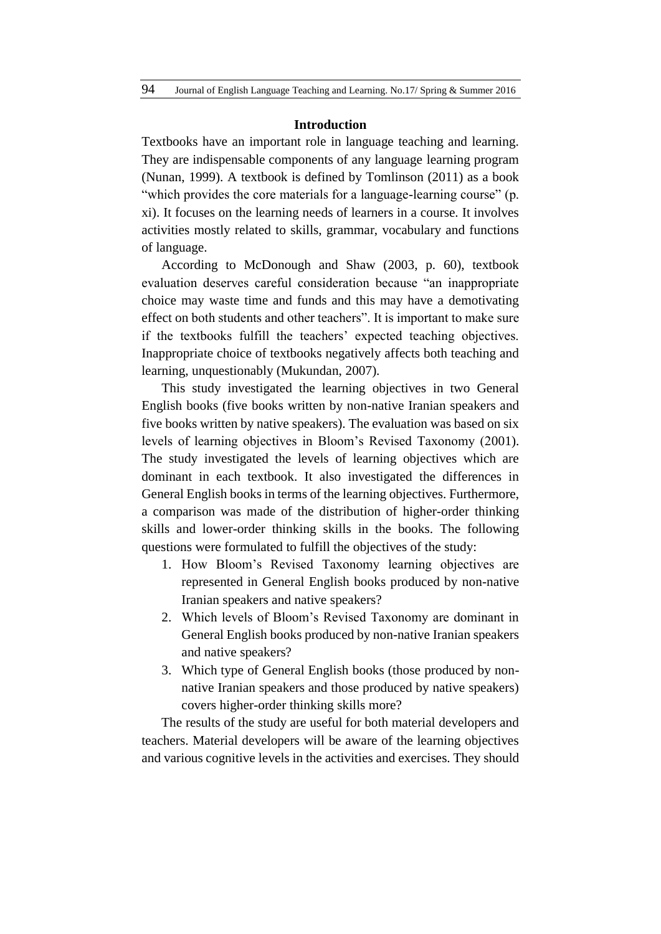#### **Introduction**

Textbooks have an important role in language teaching and learning. They are indispensable components of any language learning program (Nunan, 1999). A textbook is defined by Tomlinson (2011) as a book "which provides the core materials for a language-learning course" (p. xi). It focuses on the learning needs of learners in a course. It involves activities mostly related to skills, grammar, vocabulary and functions of language.

According to McDonough and Shaw (2003, p. 60), textbook evaluation deserves careful consideration because "an inappropriate choice may waste time and funds and this may have a demotivating effect on both students and other teachers". It is important to make sure if the textbooks fulfill the teachers' expected teaching objectives. Inappropriate choice of textbooks negatively affects both teaching and learning, unquestionably (Mukundan, 2007).

This study investigated the learning objectives in two General English books (five books written by non-native Iranian speakers and five books written by native speakers). The evaluation was based on six levels of learning objectives in Bloom's Revised Taxonomy (2001). The study investigated the levels of learning objectives which are dominant in each textbook. It also investigated the differences in General English books in terms of the learning objectives. Furthermore, a comparison was made of the distribution of higher-order thinking skills and lower-order thinking skills in the books. The following questions were formulated to fulfill the objectives of the study:

- 1. How Bloom's Revised Taxonomy learning objectives are represented in General English books produced by non-native Iranian speakers and native speakers?
- 2. Which levels of Bloom's Revised Taxonomy are dominant in General English books produced by non-native Iranian speakers and native speakers?
- 3. Which type of General English books (those produced by nonnative Iranian speakers and those produced by native speakers) covers higher-order thinking skills more?

The results of the study are useful for both material developers and teachers. Material developers will be aware of the learning objectives and various cognitive levels in the activities and exercises. They should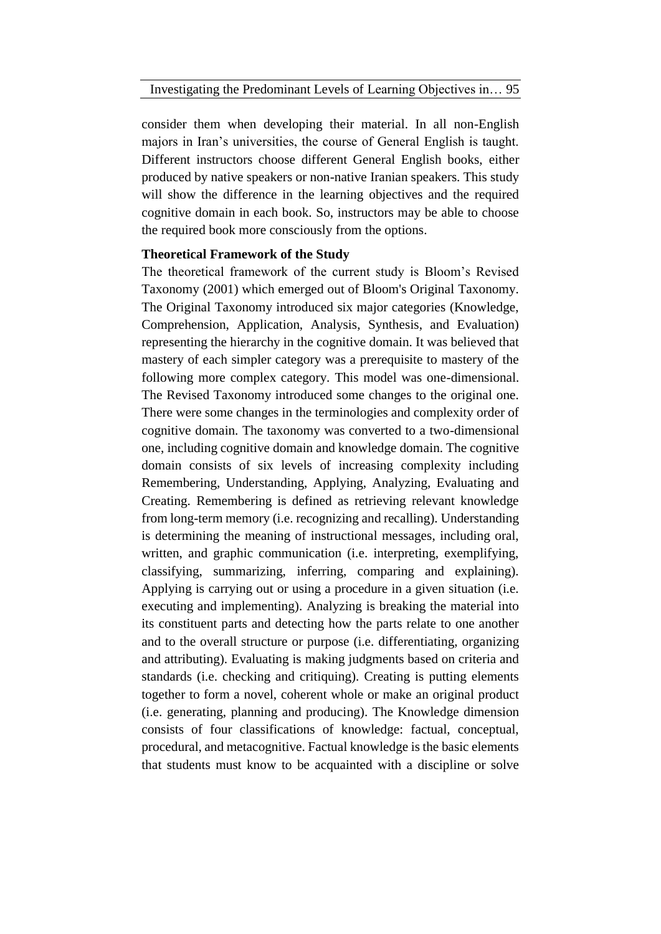consider them when developing their material. In all non-English majors in Iran's universities, the course of General English is taught. Different instructors choose different General English books, either produced by native speakers or non-native Iranian speakers. This study will show the difference in the learning objectives and the required cognitive domain in each book. So, instructors may be able to choose the required book more consciously from the options.

## **Theoretical Framework of the Study**

The theoretical framework of the current study is Bloom's Revised Taxonomy (2001) which emerged out of Bloom's Original Taxonomy. The Original Taxonomy introduced six major categories (Knowledge, Comprehension, Application, Analysis, Synthesis, and Evaluation) representing the hierarchy in the cognitive domain. It was believed that mastery of each simpler category was a prerequisite to mastery of the following more complex category. This model was one-dimensional. The Revised Taxonomy introduced some changes to the original one. There were some changes in the terminologies and complexity order of cognitive domain. The taxonomy was converted to a two-dimensional one, including cognitive domain and knowledge domain. The cognitive domain consists of six levels of increasing complexity including Remembering, Understanding, Applying, Analyzing, Evaluating and Creating. Remembering is defined as retrieving relevant knowledge from long-term memory (i.e. recognizing and recalling). Understanding is determining the meaning of instructional messages, including oral, written, and graphic communication (i.e. interpreting, exemplifying, classifying, summarizing, inferring, comparing and explaining). Applying is carrying out or using a procedure in a given situation (i.e. executing and implementing). Analyzing is breaking the material into its constituent parts and detecting how the parts relate to one another and to the overall structure or purpose (i.e. differentiating, organizing and attributing). Evaluating is making judgments based on criteria and standards (i.e. checking and critiquing). Creating is putting elements together to form a novel, coherent whole or make an original product (i.e. generating, planning and producing). The Knowledge dimension consists of four classifications of knowledge: factual, conceptual, procedural, and metacognitive. Factual knowledge is the basic elements that students must know to be acquainted with a discipline or solve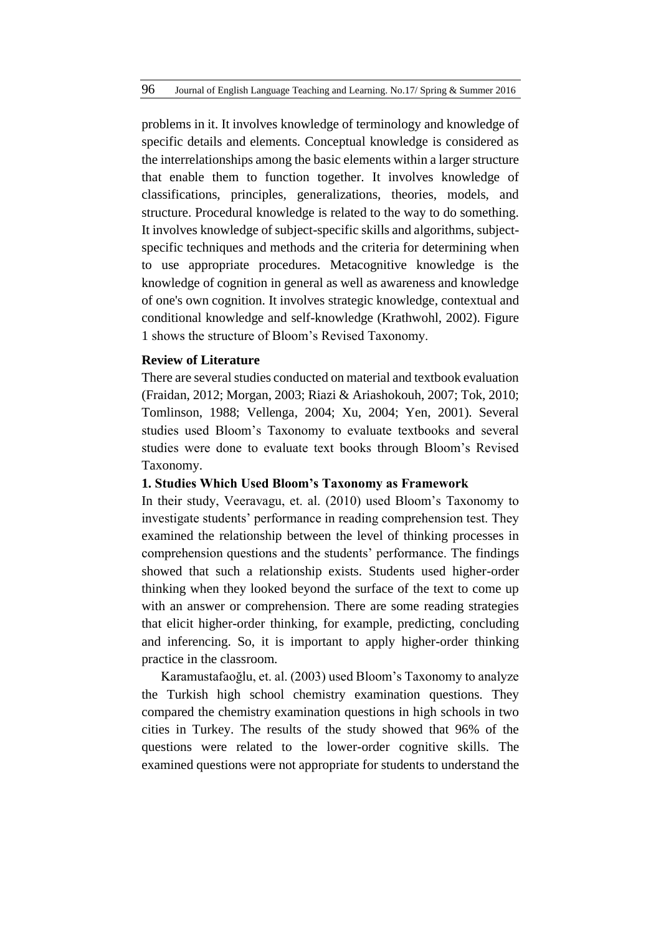problems in it. It involves knowledge of terminology and knowledge of specific details and elements. Conceptual knowledge is considered as the interrelationships among the basic elements within a larger structure that enable them to function together. It involves knowledge of classifications, principles, generalizations, theories, models, and structure. Procedural knowledge is related to the way to do something. It involves knowledge of subject-specific skills and algorithms, subjectspecific techniques and methods and the criteria for determining when to use appropriate procedures. Metacognitive knowledge is the knowledge of cognition in general as well as awareness and knowledge of one's own cognition. It involves strategic knowledge, contextual and conditional knowledge and self-knowledge (Krathwohl, 2002). Figure 1 shows the structure of Bloom's Revised Taxonomy.

## **Review of Literature**

There are several studies conducted on material and textbook evaluation (Fraidan, 2012; Morgan, 2003; Riazi & Ariashokouh, 2007; Tok, 2010; Tomlinson, 1988; Vellenga, 2004; Xu, 2004; Yen, 2001). Several studies used Bloom's Taxonomy to evaluate textbooks and several studies were done to evaluate text books through Bloom's Revised Taxonomy.

#### **1. Studies Which Used Bloom's Taxonomy as Framework**

In their study, Veeravagu, et. al. (2010) used Bloom's Taxonomy to investigate students' performance in reading comprehension test. They examined the relationship between the level of thinking processes in comprehension questions and the students' performance. The findings showed that such a relationship exists. Students used higher-order thinking when they looked beyond the surface of the text to come up with an answer or comprehension. There are some reading strategies that elicit higher-order thinking, for example, predicting, concluding and inferencing. So, it is important to apply higher-order thinking practice in the classroom.

Karamustafaoğlu, et. al. (2003) used Bloom's Taxonomy to analyze the Turkish high school chemistry examination questions. They compared the chemistry examination questions in high schools in two cities in Turkey. The results of the study showed that 96% of the questions were related to the lower-order cognitive skills. The examined questions were not appropriate for students to understand the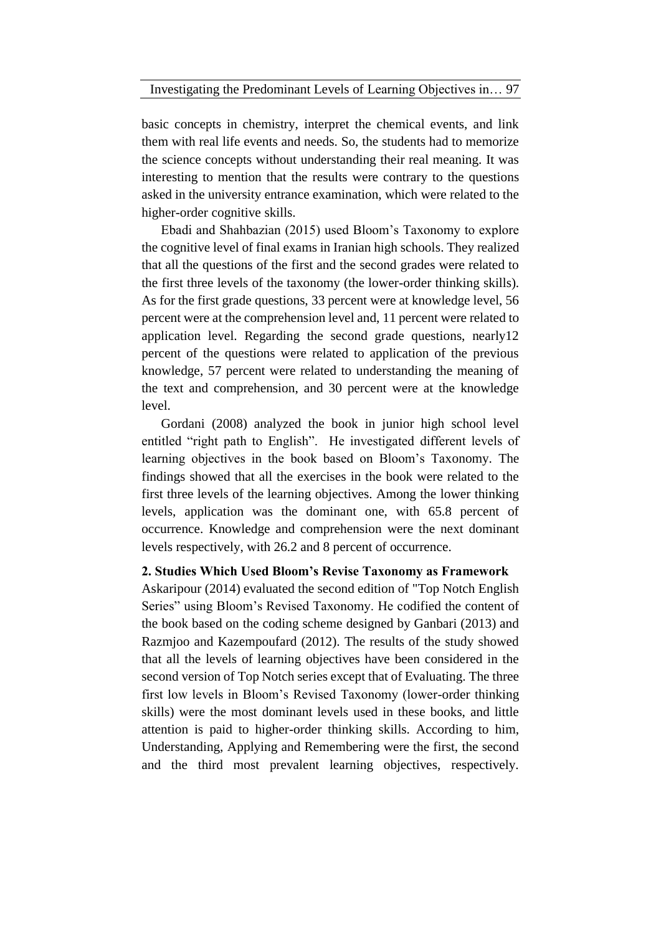basic concepts in chemistry, interpret the chemical events, and link them with real life events and needs. So, the students had to memorize the science concepts without understanding their real meaning. It was interesting to mention that the results were contrary to the questions asked in the university entrance examination, which were related to the higher-order cognitive skills.

Ebadi and Shahbazian (2015) used Bloom's Taxonomy to explore the cognitive level of final exams in Iranian high schools. They realized that all the questions of the first and the second grades were related to the first three levels of the taxonomy (the lower-order thinking skills). As for the first grade questions, 33 percent were at knowledge level, 56 percent were at the comprehension level and, 11 percent were related to application level. Regarding the second grade questions, nearly12 percent of the questions were related to application of the previous knowledge, 57 percent were related to understanding the meaning of the text and comprehension, and 30 percent were at the knowledge level.

Gordani (2008) analyzed the book in junior high school level entitled "right path to English". He investigated different levels of learning objectives in the book based on Bloom's Taxonomy. The findings showed that all the exercises in the book were related to the first three levels of the learning objectives. Among the lower thinking levels, application was the dominant one, with 65.8 percent of occurrence. Knowledge and comprehension were the next dominant levels respectively, with 26.2 and 8 percent of occurrence.

#### **2. Studies Which Used Bloom's Revise Taxonomy as Framework**

Askaripour (2014) evaluated the second edition of "Top Notch English Series" using Bloom's Revised Taxonomy. He codified the content of the book based on the coding scheme designed by Ganbari (2013) and Razmjoo and Kazempoufard (2012). The results of the study showed that all the levels of learning objectives have been considered in the second version of Top Notch series except that of Evaluating. The three first low levels in Bloom's Revised Taxonomy (lower-order thinking skills) were the most dominant levels used in these books, and little attention is paid to higher-order thinking skills. According to him, Understanding, Applying and Remembering were the first, the second and the third most prevalent learning objectives, respectively.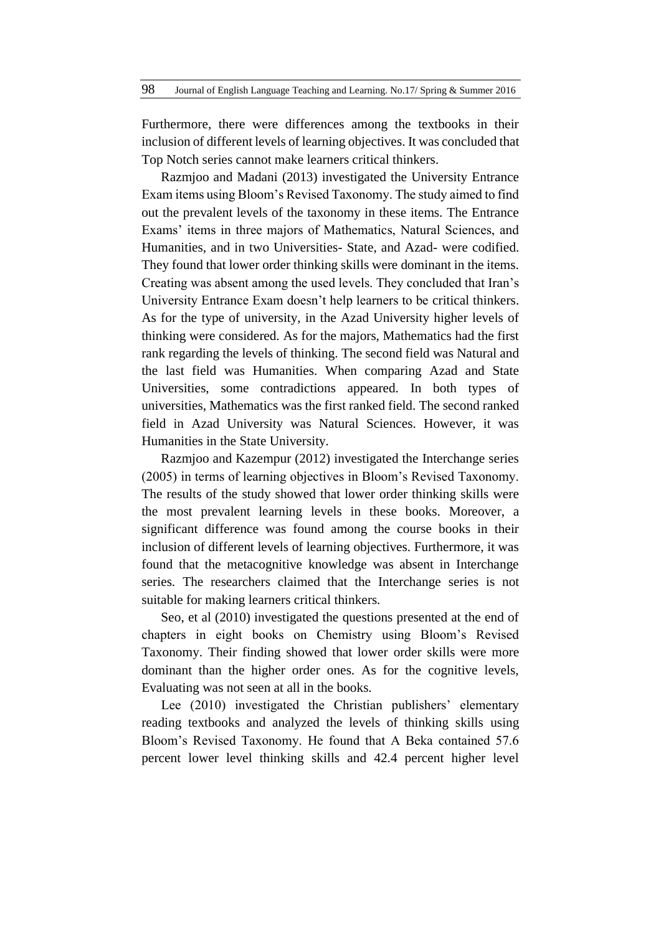Furthermore, there were differences among the textbooks in their inclusion of different levels of learning objectives. It was concluded that Top Notch series cannot make learners critical thinkers.

Razmjoo and Madani (2013) investigated the University Entrance Exam items using Bloom's Revised Taxonomy. The study aimed to find out the prevalent levels of the taxonomy in these items. The Entrance Exams' items in three majors of Mathematics, Natural Sciences, and Humanities, and in two Universities- State, and Azad- were codified. They found that lower order thinking skills were dominant in the items. Creating was absent among the used levels. They concluded that Iran's University Entrance Exam doesn't help learners to be critical thinkers. As for the type of university, in the Azad University higher levels of thinking were considered. As for the majors, Mathematics had the first rank regarding the levels of thinking. The second field was Natural and the last field was Humanities. When comparing Azad and State Universities, some contradictions appeared. In both types of universities, Mathematics was the first ranked field. The second ranked field in Azad University was Natural Sciences. However, it was Humanities in the State University.

Razmjoo and Kazempur (2012) investigated the Interchange series (2005) in terms of learning objectives in Bloom's Revised Taxonomy. The results of the study showed that lower order thinking skills were the most prevalent learning levels in these books. Moreover, a significant difference was found among the course books in their inclusion of different levels of learning objectives. Furthermore, it was found that the metacognitive knowledge was absent in Interchange series. The researchers claimed that the Interchange series is not suitable for making learners critical thinkers.

Seo, et al (2010) investigated the questions presented at the end of chapters in eight books on Chemistry using Bloom's Revised Taxonomy. Their finding showed that lower order skills were more dominant than the higher order ones. As for the cognitive levels, Evaluating was not seen at all in the books.

Lee (2010) investigated the Christian publishers' elementary reading textbooks and analyzed the levels of thinking skills using Bloom's Revised Taxonomy. He found that A Beka contained 57.6 percent lower level thinking skills and 42.4 percent higher level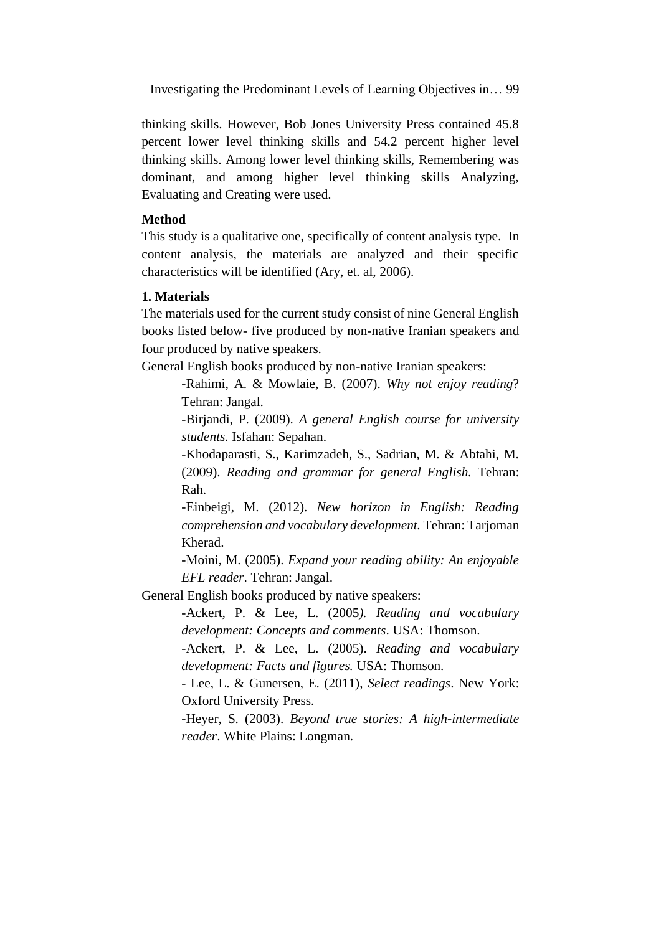Investigating the Predominant Levels of Learning Objectives in… 99

thinking skills. However, Bob Jones University Press contained 45.8 percent lower level thinking skills and 54.2 percent higher level thinking skills. Among lower level thinking skills, Remembering was dominant, and among higher level thinking skills Analyzing, Evaluating and Creating were used.

## **Method**

This study is a qualitative one, specifically of content analysis type. In content analysis, the materials are analyzed and their specific characteristics will be identified (Ary, et. al, 2006).

## **1. Materials**

The materials used for the current study consist of nine General English books listed below- five produced by non-native Iranian speakers and four produced by native speakers.

General English books produced by non-native Iranian speakers:

-Rahimi, A. & Mowlaie, B. (2007). *Why not enjoy reading*? Tehran: Jangal.

-Birjandi, P. (2009). *A general English course for university students.* Isfahan: Sepahan.

-Khodaparasti, S., Karimzadeh, S., Sadrian, M. & Abtahi, M. (2009). *Reading and grammar for general English.* Tehran: Rah.

-Einbeigi, M. (2012). *New horizon in English: Reading comprehension and vocabulary development.* Tehran: Tarjoman Kherad.

-Moini, M. (2005). *Expand your reading ability: An enjoyable EFL reader*. Tehran: Jangal.

General English books produced by native speakers:

-Ackert, P. & Lee, L. (2005*). Reading and vocabulary development: Concepts and comments*. USA: Thomson.

-Ackert, P. & Lee, L. (2005). *Reading and vocabulary development: Facts and figures.* USA: Thomson.

- Lee, L. & Gunersen, E. (2011), *Select readings*. New York: Oxford University Press.

-Heyer, S. (2003). *Beyond true stories: A high-intermediate reader*. White Plains: Longman.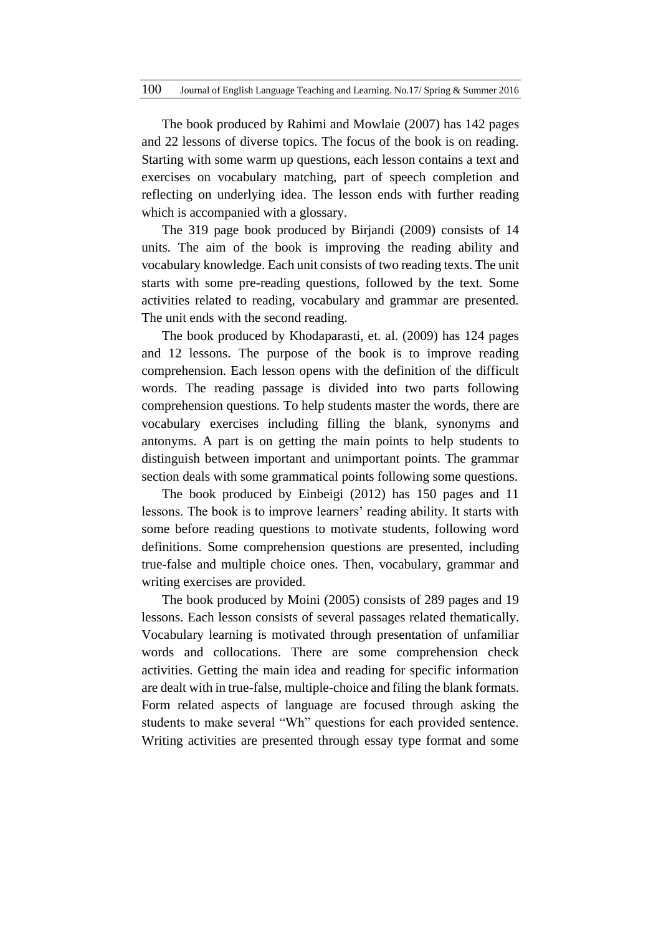The book produced by Rahimi and Mowlaie (2007) has 142 pages and 22 lessons of diverse topics. The focus of the book is on reading. Starting with some warm up questions, each lesson contains a text and exercises on vocabulary matching, part of speech completion and reflecting on underlying idea. The lesson ends with further reading which is accompanied with a glossary.

The 319 page book produced by Birjandi (2009) consists of 14 units. The aim of the book is improving the reading ability and vocabulary knowledge. Each unit consists of two reading texts. The unit starts with some pre-reading questions, followed by the text. Some activities related to reading, vocabulary and grammar are presented. The unit ends with the second reading.

The book produced by Khodaparasti, et. al. (2009) has 124 pages and 12 lessons. The purpose of the book is to improve reading comprehension. Each lesson opens with the definition of the difficult words. The reading passage is divided into two parts following comprehension questions. To help students master the words, there are vocabulary exercises including filling the blank, synonyms and antonyms. A part is on getting the main points to help students to distinguish between important and unimportant points. The grammar section deals with some grammatical points following some questions.

The book produced by Einbeigi (2012) has 150 pages and 11 lessons. The book is to improve learners' reading ability. It starts with some before reading questions to motivate students, following word definitions. Some comprehension questions are presented, including true-false and multiple choice ones. Then, vocabulary, grammar and writing exercises are provided.

The book produced by Moini (2005) consists of 289 pages and 19 lessons. Each lesson consists of several passages related thematically. Vocabulary learning is motivated through presentation of unfamiliar words and collocations. There are some comprehension check activities. Getting the main idea and reading for specific information are dealt with in true-false, multiple-choice and filing the blank formats. Form related aspects of language are focused through asking the students to make several "Wh" questions for each provided sentence. Writing activities are presented through essay type format and some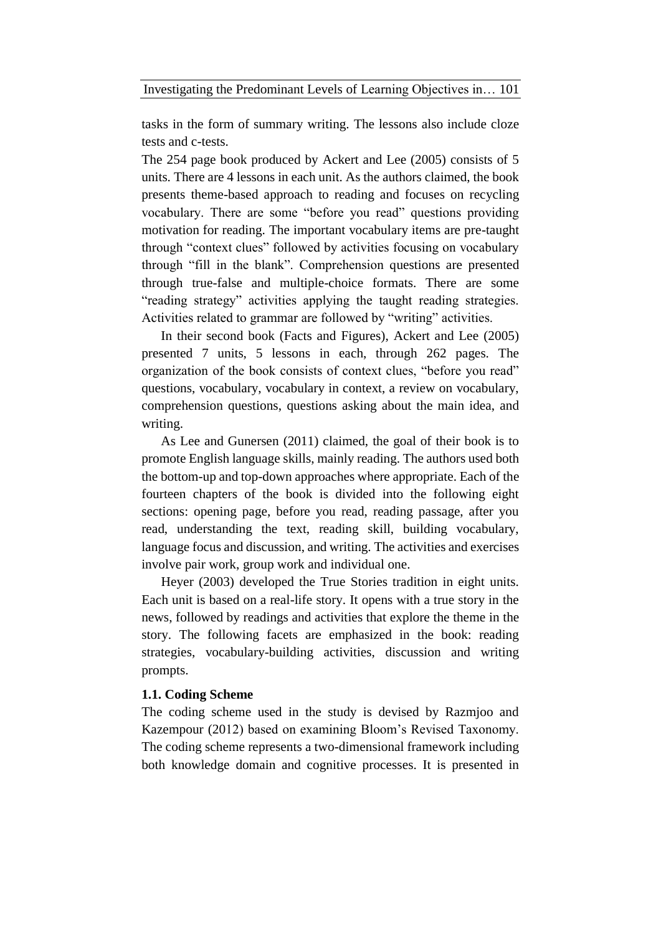tasks in the form of summary writing. The lessons also include cloze tests and c-tests.

The 254 page book produced by Ackert and Lee (2005) consists of 5 units. There are 4 lessons in each unit. As the authors claimed, the book presents theme-based approach to reading and focuses on recycling vocabulary. There are some "before you read" questions providing motivation for reading. The important vocabulary items are pre-taught through "context clues" followed by activities focusing on vocabulary through "fill in the blank". Comprehension questions are presented through true-false and multiple-choice formats. There are some "reading strategy" activities applying the taught reading strategies. Activities related to grammar are followed by "writing" activities.

In their second book (Facts and Figures), Ackert and Lee (2005) presented 7 units, 5 lessons in each, through 262 pages. The organization of the book consists of context clues, "before you read" questions, vocabulary, vocabulary in context, a review on vocabulary, comprehension questions, questions asking about the main idea, and writing.

As Lee and Gunersen (2011) claimed, the goal of their book is to promote English language skills, mainly reading. The authors used both the bottom-up and top-down approaches where appropriate. Each of the fourteen chapters of the book is divided into the following eight sections: opening page, before you read, reading passage, after you read, understanding the text, reading skill, building vocabulary, language focus and discussion, and writing. The activities and exercises involve pair work, group work and individual one.

Heyer (2003) developed the True Stories tradition in eight units. Each unit is based on a real-life story. It opens with a true story in the news, followed by readings and activities that explore the theme in the story. The following facets are emphasized in the book: reading strategies, vocabulary-building activities, discussion and writing prompts.

#### **1.1. Coding Scheme**

The coding scheme used in the study is devised by Razmjoo and Kazempour (2012) based on examining Bloom's Revised Taxonomy. The coding scheme represents a two-dimensional framework including both knowledge domain and cognitive processes. It is presented in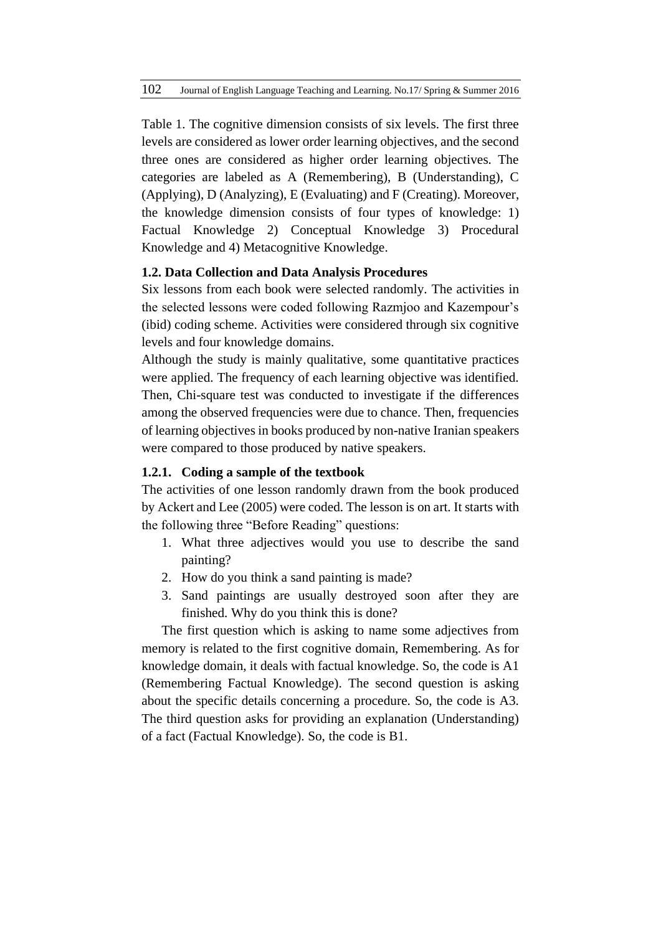Table 1. The cognitive dimension consists of six levels. The first three levels are considered as lower order learning objectives, and the second three ones are considered as higher order learning objectives. The categories are labeled as A (Remembering), B (Understanding), C (Applying), D (Analyzing), E (Evaluating) and F (Creating). Moreover, the knowledge dimension consists of four types of knowledge: 1) Factual Knowledge 2) Conceptual Knowledge 3) Procedural Knowledge and 4) Metacognitive Knowledge.

# **1.2. Data Collection and Data Analysis Procedures**

Six lessons from each book were selected randomly. The activities in the selected lessons were coded following Razmjoo and Kazempour's (ibid) coding scheme. Activities were considered through six cognitive levels and four knowledge domains.

Although the study is mainly qualitative, some quantitative practices were applied. The frequency of each learning objective was identified. Then, Chi-square test was conducted to investigate if the differences among the observed frequencies were due to chance. Then, frequencies of learning objectives in books produced by non-native Iranian speakers were compared to those produced by native speakers.

## **1.2.1. Coding a sample of the textbook**

The activities of one lesson randomly drawn from the book produced by Ackert and Lee (2005) were coded. The lesson is on art. It starts with the following three "Before Reading" questions:

- 1. What three adjectives would you use to describe the sand painting?
- 2. How do you think a sand painting is made?
- 3. Sand paintings are usually destroyed soon after they are finished. Why do you think this is done?

The first question which is asking to name some adjectives from memory is related to the first cognitive domain, Remembering. As for knowledge domain, it deals with factual knowledge. So, the code is A1 (Remembering Factual Knowledge). The second question is asking about the specific details concerning a procedure. So, the code is A3. The third question asks for providing an explanation (Understanding) of a fact (Factual Knowledge). So, the code is B1.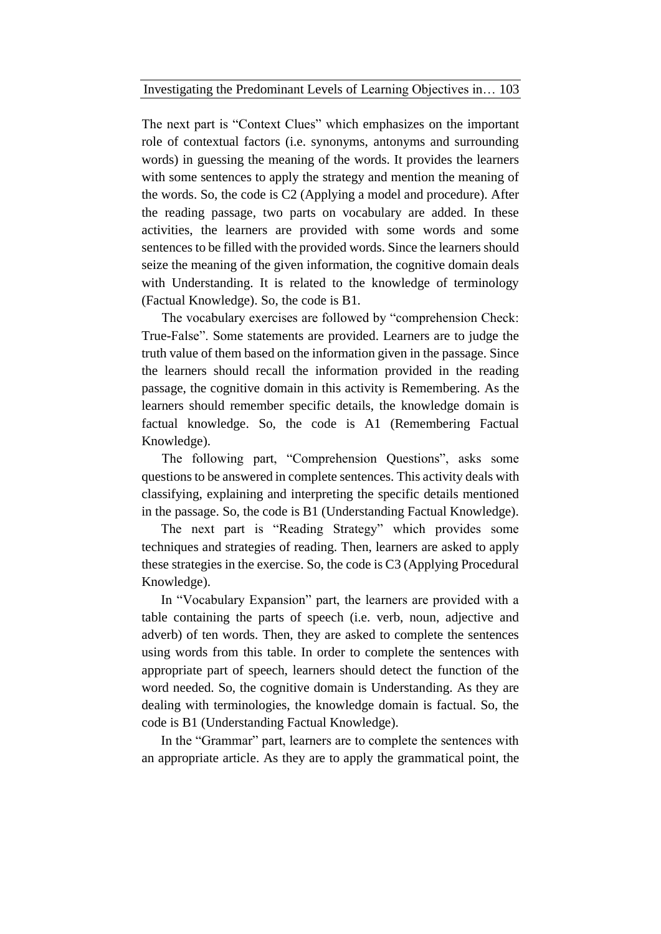The next part is "Context Clues" which emphasizes on the important role of contextual factors (i.e. synonyms, antonyms and surrounding words) in guessing the meaning of the words. It provides the learners with some sentences to apply the strategy and mention the meaning of the words. So, the code is C2 (Applying a model and procedure). After the reading passage, two parts on vocabulary are added. In these activities, the learners are provided with some words and some sentences to be filled with the provided words. Since the learners should seize the meaning of the given information, the cognitive domain deals with Understanding. It is related to the knowledge of terminology (Factual Knowledge). So, the code is B1.

The vocabulary exercises are followed by "comprehension Check: True-False". Some statements are provided. Learners are to judge the truth value of them based on the information given in the passage. Since the learners should recall the information provided in the reading passage, the cognitive domain in this activity is Remembering. As the learners should remember specific details, the knowledge domain is factual knowledge. So, the code is A1 (Remembering Factual Knowledge).

The following part, "Comprehension Questions", asks some questions to be answered in complete sentences. This activity deals with classifying, explaining and interpreting the specific details mentioned in the passage. So, the code is B1 (Understanding Factual Knowledge).

The next part is "Reading Strategy" which provides some techniques and strategies of reading. Then, learners are asked to apply these strategies in the exercise. So, the code is C3 (Applying Procedural Knowledge).

In "Vocabulary Expansion" part, the learners are provided with a table containing the parts of speech (i.e. verb, noun, adjective and adverb) of ten words. Then, they are asked to complete the sentences using words from this table. In order to complete the sentences with appropriate part of speech, learners should detect the function of the word needed. So, the cognitive domain is Understanding. As they are dealing with terminologies, the knowledge domain is factual. So, the code is B1 (Understanding Factual Knowledge).

In the "Grammar" part, learners are to complete the sentences with an appropriate article. As they are to apply the grammatical point, the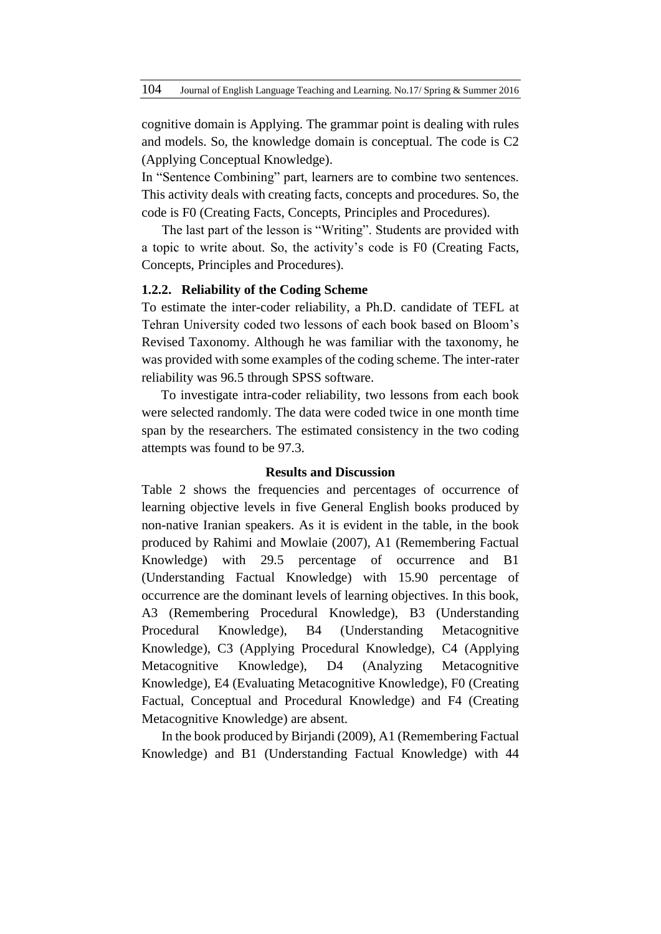cognitive domain is Applying. The grammar point is dealing with rules and models. So, the knowledge domain is conceptual. The code is C2 (Applying Conceptual Knowledge).

In "Sentence Combining" part, learners are to combine two sentences. This activity deals with creating facts, concepts and procedures. So, the code is F0 (Creating Facts, Concepts, Principles and Procedures).

The last part of the lesson is "Writing". Students are provided with a topic to write about. So, the activity's code is F0 (Creating Facts, Concepts, Principles and Procedures).

#### **1.2.2. Reliability of the Coding Scheme**

To estimate the inter-coder reliability, a Ph.D. candidate of TEFL at Tehran University coded two lessons of each book based on Bloom's Revised Taxonomy. Although he was familiar with the taxonomy, he was provided with some examples of the coding scheme. The inter-rater reliability was 96.5 through SPSS software.

To investigate intra-coder reliability, two lessons from each book were selected randomly. The data were coded twice in one month time span by the researchers. The estimated consistency in the two coding attempts was found to be 97.3.

#### **Results and Discussion**

Table 2 shows the frequencies and percentages of occurrence of learning objective levels in five General English books produced by non-native Iranian speakers. As it is evident in the table, in the book produced by Rahimi and Mowlaie (2007), A1 (Remembering Factual Knowledge) with 29.5 percentage of occurrence and B1 (Understanding Factual Knowledge) with 15.90 percentage of occurrence are the dominant levels of learning objectives. In this book, A3 (Remembering Procedural Knowledge), B3 (Understanding Procedural Knowledge), B4 (Understanding Metacognitive Knowledge), C3 (Applying Procedural Knowledge), C4 (Applying Metacognitive Knowledge), D4 (Analyzing Metacognitive Knowledge), E4 (Evaluating Metacognitive Knowledge), F0 (Creating Factual, Conceptual and Procedural Knowledge) and F4 (Creating Metacognitive Knowledge) are absent.

In the book produced by Birjandi (2009), A1 (Remembering Factual Knowledge) and B1 (Understanding Factual Knowledge) with 44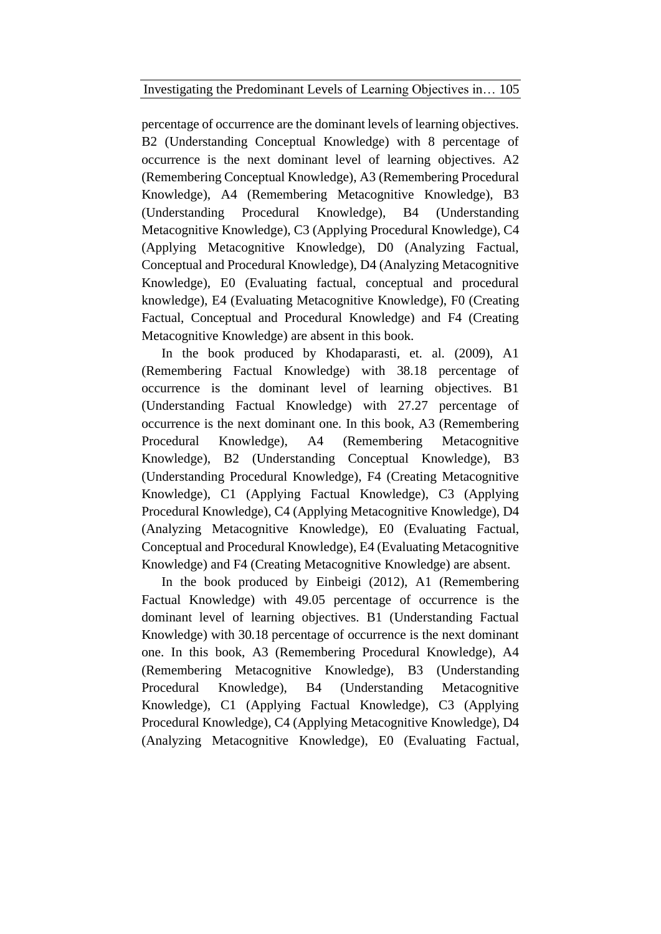percentage of occurrence are the dominant levels of learning objectives. B2 (Understanding Conceptual Knowledge) with 8 percentage of occurrence is the next dominant level of learning objectives. A2 (Remembering Conceptual Knowledge), A3 (Remembering Procedural Knowledge), A4 (Remembering Metacognitive Knowledge), B3 (Understanding Procedural Knowledge), B4 (Understanding Metacognitive Knowledge), C3 (Applying Procedural Knowledge), C4 (Applying Metacognitive Knowledge), D0 (Analyzing Factual, Conceptual and Procedural Knowledge), D4 (Analyzing Metacognitive Knowledge), E0 (Evaluating factual, conceptual and procedural knowledge), E4 (Evaluating Metacognitive Knowledge), F0 (Creating Factual, Conceptual and Procedural Knowledge) and F4 (Creating Metacognitive Knowledge) are absent in this book.

In the book produced by Khodaparasti, et. al. (2009), A1 (Remembering Factual Knowledge) with 38.18 percentage of occurrence is the dominant level of learning objectives. B1 (Understanding Factual Knowledge) with 27.27 percentage of occurrence is the next dominant one. In this book, A3 (Remembering Procedural Knowledge), A4 (Remembering Metacognitive Knowledge), B2 (Understanding Conceptual Knowledge), B3 (Understanding Procedural Knowledge), F4 (Creating Metacognitive Knowledge), C1 (Applying Factual Knowledge), C3 (Applying Procedural Knowledge), C4 (Applying Metacognitive Knowledge), D4 (Analyzing Metacognitive Knowledge), E0 (Evaluating Factual, Conceptual and Procedural Knowledge), E4 (Evaluating Metacognitive Knowledge) and F4 (Creating Metacognitive Knowledge) are absent.

In the book produced by Einbeigi (2012), A1 (Remembering Factual Knowledge) with 49.05 percentage of occurrence is the dominant level of learning objectives. B1 (Understanding Factual Knowledge) with 30.18 percentage of occurrence is the next dominant one. In this book, A3 (Remembering Procedural Knowledge), A4 (Remembering Metacognitive Knowledge), B3 (Understanding Procedural Knowledge), B4 (Understanding Metacognitive Knowledge), C1 (Applying Factual Knowledge), C3 (Applying Procedural Knowledge), C4 (Applying Metacognitive Knowledge), D4 (Analyzing Metacognitive Knowledge), E0 (Evaluating Factual,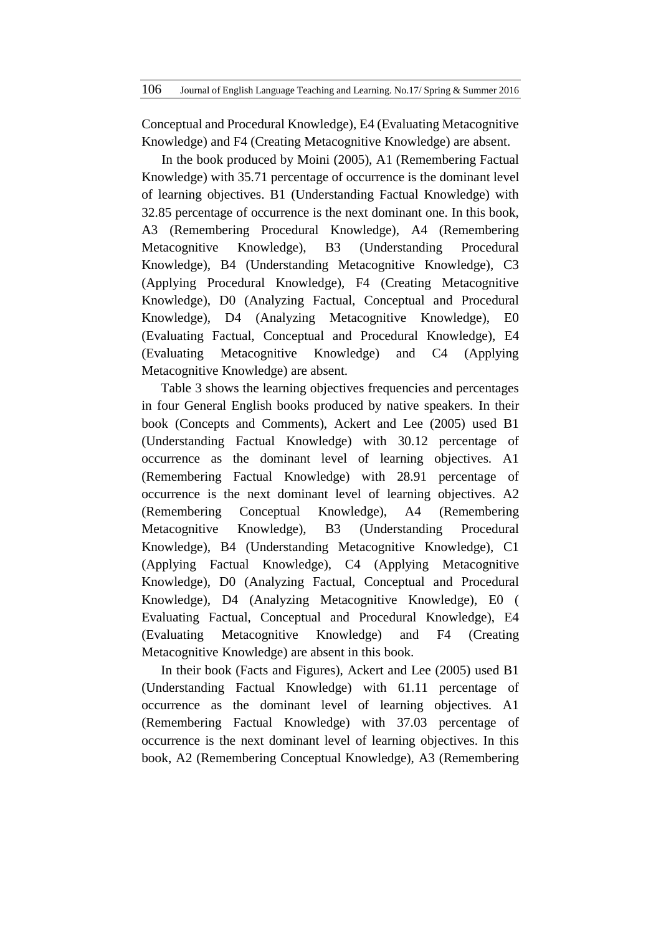Conceptual and Procedural Knowledge), E4 (Evaluating Metacognitive Knowledge) and F4 (Creating Metacognitive Knowledge) are absent.

In the book produced by Moini (2005), A1 (Remembering Factual Knowledge) with 35.71 percentage of occurrence is the dominant level of learning objectives. B1 (Understanding Factual Knowledge) with 32.85 percentage of occurrence is the next dominant one. In this book, A3 (Remembering Procedural Knowledge), A4 (Remembering Metacognitive Knowledge), B3 (Understanding Procedural Knowledge), B4 (Understanding Metacognitive Knowledge), C3 (Applying Procedural Knowledge), F4 (Creating Metacognitive Knowledge), D0 (Analyzing Factual, Conceptual and Procedural Knowledge), D4 (Analyzing Metacognitive Knowledge), E0 (Evaluating Factual, Conceptual and Procedural Knowledge), E4 (Evaluating Metacognitive Knowledge) and C4 (Applying Metacognitive Knowledge) are absent.

Table 3 shows the learning objectives frequencies and percentages in four General English books produced by native speakers. In their book (Concepts and Comments), Ackert and Lee (2005) used B1 (Understanding Factual Knowledge) with 30.12 percentage of occurrence as the dominant level of learning objectives. A1 (Remembering Factual Knowledge) with 28.91 percentage of occurrence is the next dominant level of learning objectives. A2 (Remembering Conceptual Knowledge), A4 (Remembering Metacognitive Knowledge), B3 (Understanding Procedural Knowledge), B4 (Understanding Metacognitive Knowledge), C1 (Applying Factual Knowledge), C4 (Applying Metacognitive Knowledge), D0 (Analyzing Factual, Conceptual and Procedural Knowledge), D4 (Analyzing Metacognitive Knowledge), E0 ( Evaluating Factual, Conceptual and Procedural Knowledge), E4 (Evaluating Metacognitive Knowledge) and F4 (Creating Metacognitive Knowledge) are absent in this book.

In their book (Facts and Figures), Ackert and Lee (2005) used B1 (Understanding Factual Knowledge) with 61.11 percentage of occurrence as the dominant level of learning objectives. A1 (Remembering Factual Knowledge) with 37.03 percentage of occurrence is the next dominant level of learning objectives. In this book, A2 (Remembering Conceptual Knowledge), A3 (Remembering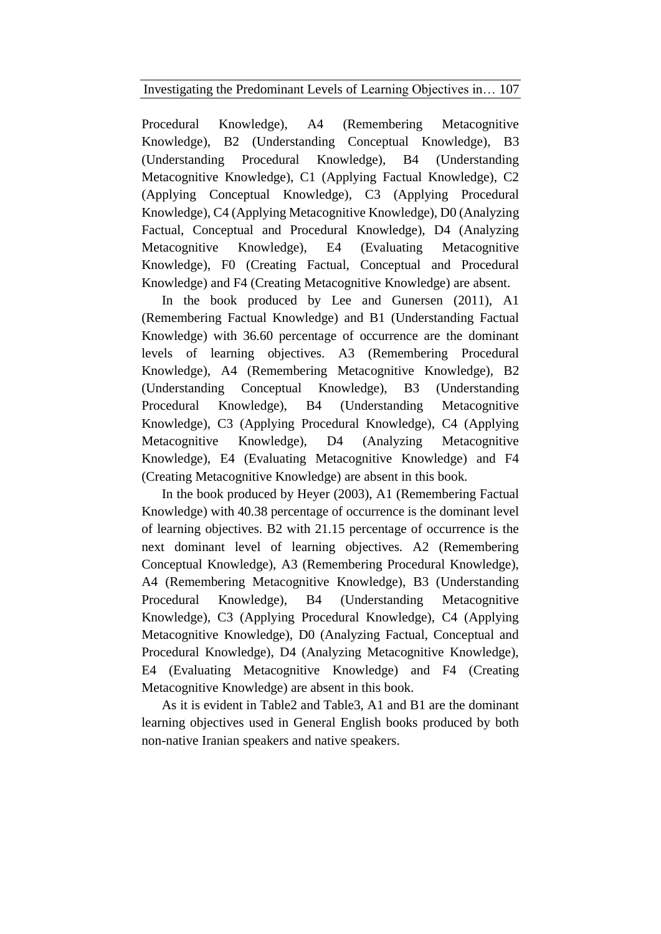Procedural Knowledge), A4 (Remembering Metacognitive Knowledge), B2 (Understanding Conceptual Knowledge), B3 (Understanding Procedural Knowledge), B4 (Understanding Metacognitive Knowledge), C1 (Applying Factual Knowledge), C2 (Applying Conceptual Knowledge), C3 (Applying Procedural Knowledge), C4 (Applying Metacognitive Knowledge), D0 (Analyzing Factual, Conceptual and Procedural Knowledge), D4 (Analyzing Metacognitive Knowledge), E4 (Evaluating Metacognitive Knowledge), F0 (Creating Factual, Conceptual and Procedural Knowledge) and F4 (Creating Metacognitive Knowledge) are absent.

In the book produced by Lee and Gunersen (2011), A1 (Remembering Factual Knowledge) and B1 (Understanding Factual Knowledge) with 36.60 percentage of occurrence are the dominant levels of learning objectives. A3 (Remembering Procedural Knowledge), A4 (Remembering Metacognitive Knowledge), B2 (Understanding Conceptual Knowledge), B3 (Understanding Procedural Knowledge), B4 (Understanding Metacognitive Knowledge), C3 (Applying Procedural Knowledge), C4 (Applying Metacognitive Knowledge), D4 (Analyzing Metacognitive Knowledge), E4 (Evaluating Metacognitive Knowledge) and F4 (Creating Metacognitive Knowledge) are absent in this book.

In the book produced by Heyer (2003), A1 (Remembering Factual Knowledge) with 40.38 percentage of occurrence is the dominant level of learning objectives. B2 with 21.15 percentage of occurrence is the next dominant level of learning objectives. A2 (Remembering Conceptual Knowledge), A3 (Remembering Procedural Knowledge), A4 (Remembering Metacognitive Knowledge), B3 (Understanding Procedural Knowledge), B4 (Understanding Metacognitive Knowledge), C3 (Applying Procedural Knowledge), C4 (Applying Metacognitive Knowledge), D0 (Analyzing Factual, Conceptual and Procedural Knowledge), D4 (Analyzing Metacognitive Knowledge), E4 (Evaluating Metacognitive Knowledge) and F4 (Creating Metacognitive Knowledge) are absent in this book.

As it is evident in Table2 and Table3, A1 and B1 are the dominant learning objectives used in General English books produced by both non-native Iranian speakers and native speakers.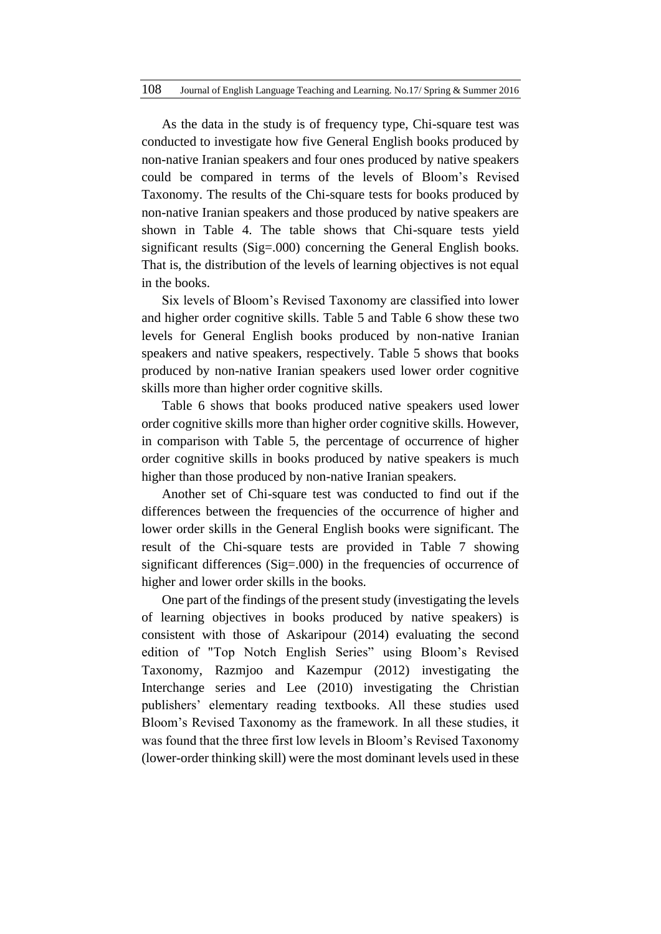As the data in the study is of frequency type, Chi-square test was conducted to investigate how five General English books produced by non-native Iranian speakers and four ones produced by native speakers could be compared in terms of the levels of Bloom's Revised Taxonomy. The results of the Chi-square tests for books produced by non-native Iranian speakers and those produced by native speakers are shown in Table 4. The table shows that Chi-square tests yield significant results (Sig=.000) concerning the General English books. That is, the distribution of the levels of learning objectives is not equal in the books.

Six levels of Bloom's Revised Taxonomy are classified into lower and higher order cognitive skills. Table 5 and Table 6 show these two levels for General English books produced by non-native Iranian speakers and native speakers, respectively. Table 5 shows that books produced by non-native Iranian speakers used lower order cognitive skills more than higher order cognitive skills.

Table 6 shows that books produced native speakers used lower order cognitive skills more than higher order cognitive skills. However, in comparison with Table 5, the percentage of occurrence of higher order cognitive skills in books produced by native speakers is much higher than those produced by non-native Iranian speakers.

Another set of Chi-square test was conducted to find out if the differences between the frequencies of the occurrence of higher and lower order skills in the General English books were significant. The result of the Chi-square tests are provided in Table 7 showing significant differences (Sig=.000) in the frequencies of occurrence of higher and lower order skills in the books.

One part of the findings of the present study (investigating the levels of learning objectives in books produced by native speakers) is consistent with those of Askaripour (2014) evaluating the second edition of "Top Notch English Series" using Bloom's Revised Taxonomy, Razmjoo and Kazempur (2012) investigating the Interchange series and Lee (2010) investigating the Christian publishers' elementary reading textbooks. All these studies used Bloom's Revised Taxonomy as the framework. In all these studies, it was found that the three first low levels in Bloom's Revised Taxonomy (lower-order thinking skill) were the most dominant levels used in these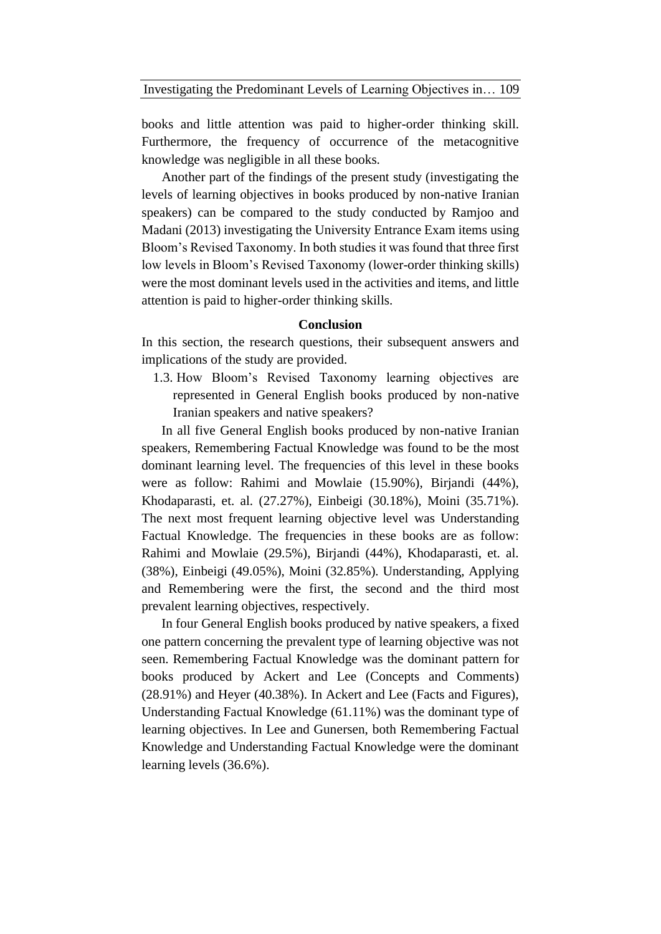books and little attention was paid to higher-order thinking skill. Furthermore, the frequency of occurrence of the metacognitive knowledge was negligible in all these books.

Another part of the findings of the present study (investigating the levels of learning objectives in books produced by non-native Iranian speakers) can be compared to the study conducted by Ramjoo and Madani (2013) investigating the University Entrance Exam items using Bloom's Revised Taxonomy. In both studies it was found that three first low levels in Bloom's Revised Taxonomy (lower-order thinking skills) were the most dominant levels used in the activities and items, and little attention is paid to higher-order thinking skills.

## **Conclusion**

In this section, the research questions, their subsequent answers and implications of the study are provided.

1.3. How Bloom's Revised Taxonomy learning objectives are represented in General English books produced by non-native Iranian speakers and native speakers?

In all five General English books produced by non-native Iranian speakers, Remembering Factual Knowledge was found to be the most dominant learning level. The frequencies of this level in these books were as follow: Rahimi and Mowlaie (15.90%), Birjandi (44%), Khodaparasti, et. al. (27.27%), Einbeigi (30.18%), Moini (35.71%). The next most frequent learning objective level was Understanding Factual Knowledge. The frequencies in these books are as follow: Rahimi and Mowlaie (29.5%), Birjandi (44%), Khodaparasti, et. al. (38%), Einbeigi (49.05%), Moini (32.85%). Understanding, Applying and Remembering were the first, the second and the third most prevalent learning objectives, respectively.

In four General English books produced by native speakers, a fixed one pattern concerning the prevalent type of learning objective was not seen. Remembering Factual Knowledge was the dominant pattern for books produced by Ackert and Lee (Concepts and Comments) (28.91%) and Heyer (40.38%). In Ackert and Lee (Facts and Figures), Understanding Factual Knowledge (61.11%) was the dominant type of learning objectives. In Lee and Gunersen, both Remembering Factual Knowledge and Understanding Factual Knowledge were the dominant learning levels (36.6%).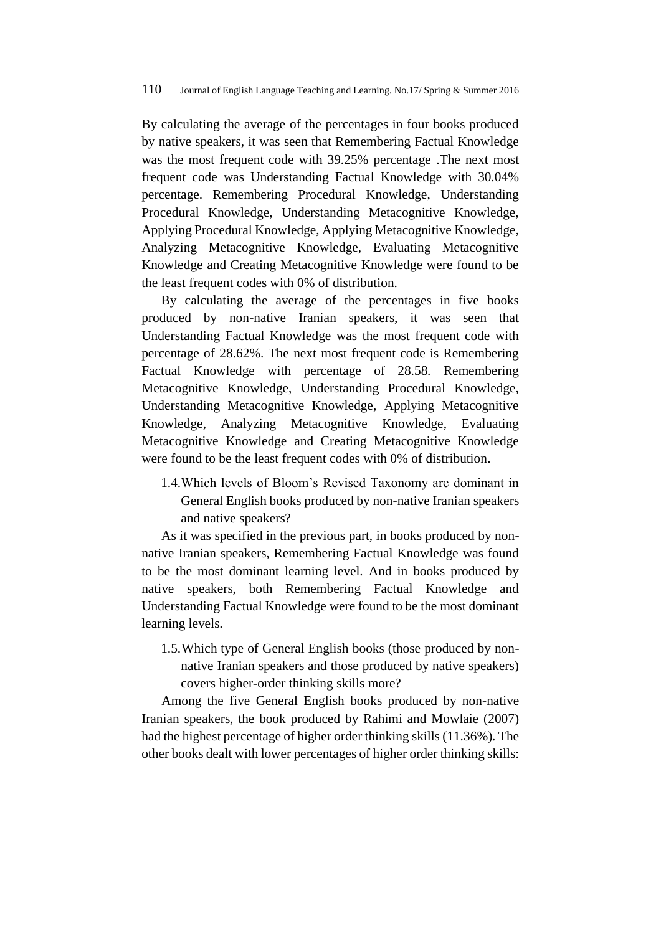By calculating the average of the percentages in four books produced by native speakers, it was seen that Remembering Factual Knowledge was the most frequent code with 39.25% percentage .The next most frequent code was Understanding Factual Knowledge with 30.04% percentage. Remembering Procedural Knowledge, Understanding Procedural Knowledge, Understanding Metacognitive Knowledge, Applying Procedural Knowledge, Applying Metacognitive Knowledge, Analyzing Metacognitive Knowledge, Evaluating Metacognitive Knowledge and Creating Metacognitive Knowledge were found to be the least frequent codes with 0% of distribution.

By calculating the average of the percentages in five books produced by non-native Iranian speakers, it was seen that Understanding Factual Knowledge was the most frequent code with percentage of 28.62%. The next most frequent code is Remembering Factual Knowledge with percentage of 28.58. Remembering Metacognitive Knowledge, Understanding Procedural Knowledge, Understanding Metacognitive Knowledge, Applying Metacognitive Knowledge, Analyzing Metacognitive Knowledge, Evaluating Metacognitive Knowledge and Creating Metacognitive Knowledge were found to be the least frequent codes with 0% of distribution.

1.4.Which levels of Bloom's Revised Taxonomy are dominant in General English books produced by non-native Iranian speakers and native speakers?

As it was specified in the previous part, in books produced by nonnative Iranian speakers, Remembering Factual Knowledge was found to be the most dominant learning level. And in books produced by native speakers, both Remembering Factual Knowledge and Understanding Factual Knowledge were found to be the most dominant learning levels.

1.5.Which type of General English books (those produced by nonnative Iranian speakers and those produced by native speakers) covers higher-order thinking skills more?

Among the five General English books produced by non-native Iranian speakers, the book produced by Rahimi and Mowlaie (2007) had the highest percentage of higher order thinking skills (11.36%). The other books dealt with lower percentages of higher order thinking skills: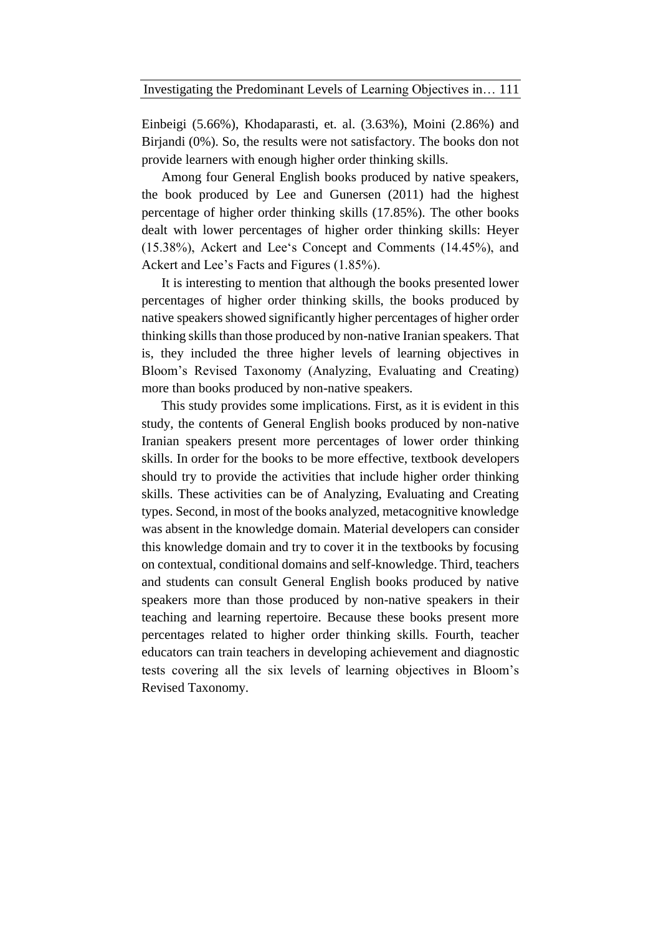Einbeigi (5.66%), Khodaparasti, et. al. (3.63%), Moini (2.86%) and Birjandi (0%). So, the results were not satisfactory. The books don not provide learners with enough higher order thinking skills.

Among four General English books produced by native speakers, the book produced by Lee and Gunersen (2011) had the highest percentage of higher order thinking skills (17.85%). The other books dealt with lower percentages of higher order thinking skills: Heyer (15.38%), Ackert and Lee's Concept and Comments (14.45%), and Ackert and Lee's Facts and Figures (1.85%).

It is interesting to mention that although the books presented lower percentages of higher order thinking skills, the books produced by native speakers showed significantly higher percentages of higher order thinking skills than those produced by non-native Iranian speakers. That is, they included the three higher levels of learning objectives in Bloom's Revised Taxonomy (Analyzing, Evaluating and Creating) more than books produced by non-native speakers.

This study provides some implications. First, as it is evident in this study, the contents of General English books produced by non-native Iranian speakers present more percentages of lower order thinking skills. In order for the books to be more effective, textbook developers should try to provide the activities that include higher order thinking skills. These activities can be of Analyzing, Evaluating and Creating types. Second, in most of the books analyzed, metacognitive knowledge was absent in the knowledge domain. Material developers can consider this knowledge domain and try to cover it in the textbooks by focusing on contextual, conditional domains and self-knowledge. Third, teachers and students can consult General English books produced by native speakers more than those produced by non-native speakers in their teaching and learning repertoire. Because these books present more percentages related to higher order thinking skills. Fourth, teacher educators can train teachers in developing achievement and diagnostic tests covering all the six levels of learning objectives in Bloom's Revised Taxonomy.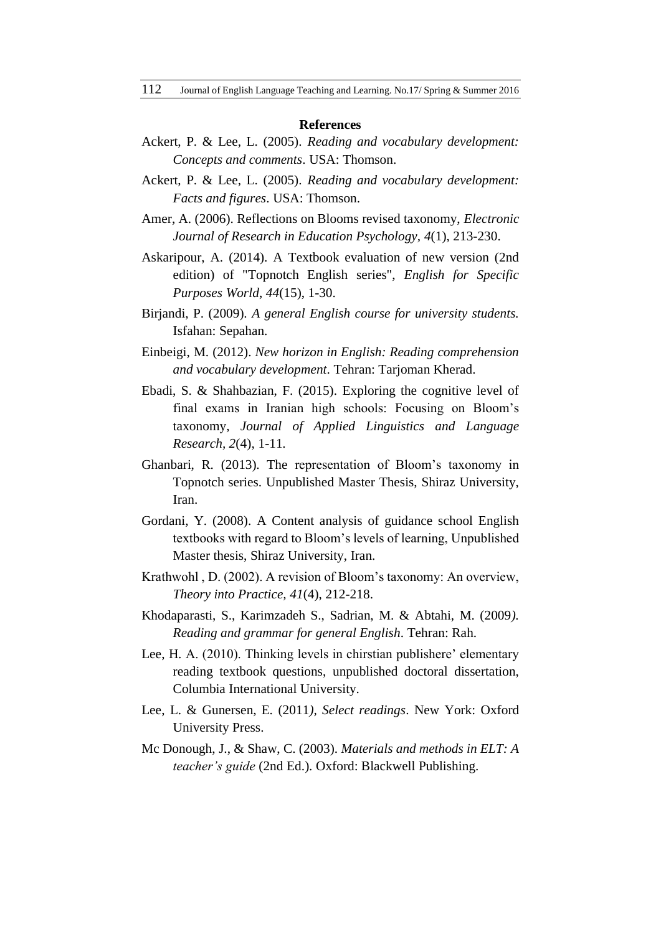#### **References**

- Ackert, P. & Lee, L. (2005). *Reading and vocabulary development: Concepts and comments*. USA: Thomson.
- Ackert, P. & Lee, L. (2005). *Reading and vocabulary development: Facts and figures*. USA: Thomson.
- Amer, A. (2006). Reflections on Blooms revised taxonomy, *Electronic Journal of Research in Education Psychology, 4*(1), 213-230.
- Askaripour, A. (2014). A Textbook evaluation of new version (2nd edition) of "Topnotch English series", *English for Specific Purposes World*, *44*(15), 1-30.
- Birjandi, P. (2009). *A general English course for university students.* Isfahan: Sepahan.
- Einbeigi, M. (2012). *New horizon in English: Reading comprehension and vocabulary development*. Tehran: Tarjoman Kherad.
- Ebadi, S. & Shahbazian, F. (2015). Exploring the cognitive level of final exams in Iranian high schools: Focusing on Bloom's taxonomy*, Journal of Applied Linguistics and Language Research, 2*(4), 1-11.
- Ghanbari, R. (2013). The representation of Bloom's taxonomy in Topnotch series. Unpublished Master Thesis, Shiraz University, Iran.
- Gordani, Y. (2008). A Content analysis of guidance school English textbooks with regard to Bloom's levels of learning, Unpublished Master thesis, Shiraz University, Iran.
- Krathwohl , D. (2002). A revision of Bloom's taxonomy: An overview, *Theory into Practice, 41*(4), 212-218.
- Khodaparasti, S., Karimzadeh S., Sadrian, M. & Abtahi, M. (2009*). Reading and grammar for general English*. Tehran: Rah.
- Lee, H. A. (2010). Thinking levels in chirstian publishere' elementary reading textbook questions, unpublished doctoral dissertation, Columbia International University.
- Lee, L. & Gunersen, E. (2011*), Select readings*. New York: Oxford University Press.
- Mc Donough, J., & Shaw, C. (2003). *Materials and methods in ELT: A teacher's guide* (2nd Ed.). Oxford: Blackwell Publishing.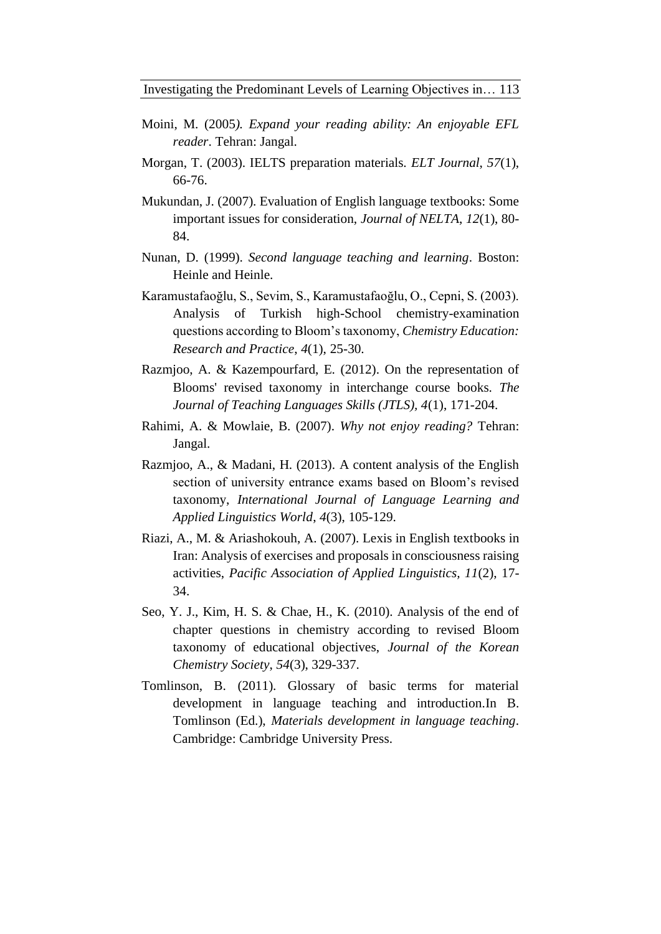- Moini, M. (2005*). Expand your reading ability: An enjoyable EFL reader*. Tehran: Jangal.
- Morgan, T. (2003). IELTS preparation materials. *ELT Journal*, *57*(1), 66-76.
- Mukundan, J. (2007). Evaluation of English language textbooks: Some important issues for consideration, *Journal of NELTA*, *12*(1), 80- 84.
- Nunan, D. (1999). *Second language teaching and learning*. Boston: Heinle and Heinle.
- Karamustafaoğlu, S., Sevim, S., Karamustafaoğlu, O., Cepni, S. (2003). Analysis of Turkish high-School chemistry-examination questions according to Bloom's taxonomy, *Chemistry Education: Research and Practice*, *4*(1), 25-30.
- Razmjoo, A. & Kazempourfard, E. (2012). On the representation of Blooms' revised taxonomy in interchange course books. *The Journal of Teaching Languages Skills (JTLS), 4*(1), 171-204.
- Rahimi, A. & Mowlaie, B. (2007). *Why not enjoy reading?* Tehran: Jangal.
- Razmjoo, A., & Madani, H. (2013). A content analysis of the English section of university entrance exams based on Bloom's revised taxonomy, *International Journal of Language Learning and Applied Linguistics World*, *4*(3), 105-129.
- Riazi, A., M. & Ariashokouh, A. (2007). Lexis in English textbooks in Iran: Analysis of exercises and proposals in consciousness raising activities, *Pacific Association of Applied Linguistics, 11*(2), 17- 34.
- Seo, Y. J., Kim, H. S. & Chae, H., K. (2010). Analysis of the end of chapter questions in chemistry according to revised Bloom taxonomy of educational objectives, *Journal of the Korean Chemistry Society*, *54*(3), 329-337.
- Tomlinson, B. (2011). Glossary of basic terms for material development in language teaching and introduction*.*In B. Tomlinson (Ed.), *Materials development in language teaching*. Cambridge: Cambridge University Press.